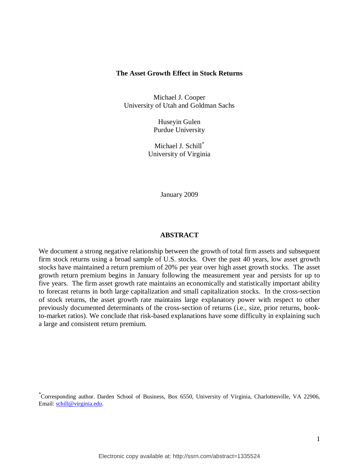## **The Asset Growth Effect in Stock Returns**

Michael J. Cooper University of Utah and Goldman Sachs

> Huseyin Gulen Purdue University

Michael J. Schill\* University of Virginia

January 2009

# **ABSTRACT**

We document a strong negative relationship between the growth of total firm assets and subsequent firm stock returns using a broad sample of U.S. stocks. Over the past 40 years, low asset growth stocks have maintained a return premium of 20% per year over high asset growth stocks. The asset growth return premium begins in January following the measurement year and persists for up to five years. The firm asset growth rate maintains an economically and statistically important ability to forecast returns in both large capitalization and small capitalization stocks. In the cross-section of stock returns, the asset growth rate maintains large explanatory power with respect to other previously documented determinants of the cross-section of returns (i.e., size, prior returns, bookto-market ratios). We conclude that risk-based explanations have some difficulty in explaining such a large and consistent return premium.

<sup>\*</sup> Corresponding author. Darden School of Business, Box 6550, University of Virginia, Charlottesville, VA 22906, Email: [schill@virginia.edu.](mailto:schill@virginia.edu)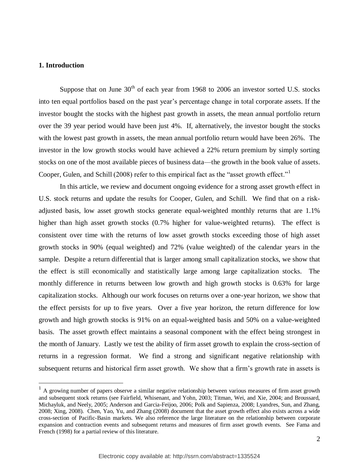## **1. Introduction**

 $\overline{a}$ 

Suppose that on June  $30<sup>th</sup>$  of each year from 1968 to 2006 an investor sorted U.S. stocks into ten equal portfolios based on the past year's percentage change in total corporate assets. If the investor bought the stocks with the highest past growth in assets, the mean annual portfolio return over the 39 year period would have been just 4%. If, alternatively, the investor bought the stocks with the lowest past growth in assets, the mean annual portfolio return would have been 26%. The investor in the low growth stocks would have achieved a 22% return premium by simply sorting stocks on one of the most available pieces of business data—the growth in the book value of assets. Cooper, Gulen, and Schill (2008) refer to this empirical fact as the "asset growth effect."

In this article, we review and document ongoing evidence for a strong asset growth effect in U.S. stock returns and update the results for Cooper, Gulen, and Schill. We find that on a riskadjusted basis, low asset growth stocks generate equal-weighted monthly returns that are 1.1% higher than high asset growth stocks (0.7% higher for value-weighted returns). The effect is consistent over time with the returns of low asset growth stocks exceeding those of high asset growth stocks in 90% (equal weighted) and 72% (value weighted) of the calendar years in the sample. Despite a return differential that is larger among small capitalization stocks, we show that the effect is still economically and statistically large among large capitalization stocks. The monthly difference in returns between low growth and high growth stocks is 0.63% for large capitalization stocks. Although our work focuses on returns over a one-year horizon, we show that the effect persists for up to five years. Over a five year horizon, the return difference for low growth and high growth stocks is 91% on an equal-weighted basis and 50% on a value-weighted basis. The asset growth effect maintains a seasonal component with the effect being strongest in the month of January. Lastly we test the ability of firm asset growth to explain the cross-section of returns in a regression format. We find a strong and significant negative relationship with subsequent returns and historical firm asset growth. We show that a firm's growth rate in assets is

 $<sup>1</sup>$  A growing number of papers observe a similar negative relationship between various measures of firm asset growth</sup> and subsequent stock returns (see Fairfield, Whisenant, and Yohn, 2003; Titman, Wei, and Xie, 2004; and Broussard, Michayluk, and Neely, 2005; Anderson and Garcia-Feijoo, 2006; Polk and Sapienza, 2008; Lyandres, Sun, and Zhang, 2008; Xing, 2008). Chen, Yao, Yu, and Zhang (2008) document that the asset growth effect also exists across a wide cross-section of Pacific-Basin markets. We also reference the large literature on the relationship between corporate expansion and contraction events and subsequent returns and measures of firm asset growth events. See Fama and French (1998) for a partial review of this literature.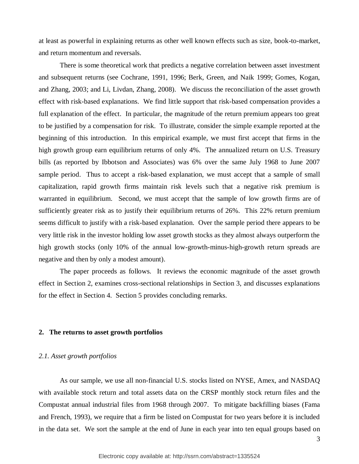at least as powerful in explaining returns as other well known effects such as size, book-to-market, and return momentum and reversals.

There is some theoretical work that predicts a negative correlation between asset investment and subsequent returns (see Cochrane, 1991, 1996; Berk, Green, and Naik 1999; Gomes, Kogan, and Zhang, 2003; and Li, Livdan, Zhang, 2008). We discuss the reconciliation of the asset growth effect with risk-based explanations. We find little support that risk-based compensation provides a full explanation of the effect. In particular, the magnitude of the return premium appears too great to be justified by a compensation for risk. To illustrate, consider the simple example reported at the beginning of this introduction. In this empirical example, we must first accept that firms in the high growth group earn equilibrium returns of only 4%. The annualized return on U.S. Treasury bills (as reported by Ibbotson and Associates) was 6% over the same July 1968 to June 2007 sample period. Thus to accept a risk-based explanation, we must accept that a sample of small capitalization, rapid growth firms maintain risk levels such that a negative risk premium is warranted in equilibrium. Second, we must accept that the sample of low growth firms are of sufficiently greater risk as to justify their equilibrium returns of 26%. This 22% return premium seems difficult to justify with a risk-based explanation. Over the sample period there appears to be very little risk in the investor holding low asset growth stocks as they almost always outperform the high growth stocks (only 10% of the annual low-growth-minus-high-growth return spreads are negative and then by only a modest amount).

The paper proceeds as follows. It reviews the economic magnitude of the asset growth effect in Section 2, examines cross-sectional relationships in Section 3, and discusses explanations for the effect in Section 4. Section 5 provides concluding remarks.

## **2. The returns to asset growth portfolios**

## *2.1. Asset growth portfolios*

As our sample, we use all non-financial U.S. stocks listed on NYSE, Amex, and NASDAQ with available stock return and total assets data on the CRSP monthly stock return files and the Compustat annual industrial files from 1968 through 2007. To mitigate backfilling biases (Fama and French, 1993), we require that a firm be listed on Compustat for two years before it is included in the data set. We sort the sample at the end of June in each year into ten equal groups based on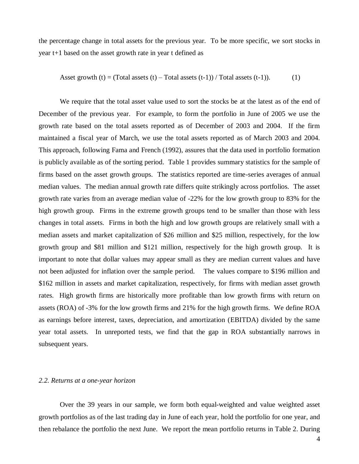the percentage change in total assets for the previous year. To be more specific, we sort stocks in year t+1 based on the asset growth rate in year t defined as

Asset growth  $(t) = (Total assets (t) - Total assets (t-1))/ Total assets (t-1)).$  (1)

We require that the total asset value used to sort the stocks be at the latest as of the end of December of the previous year. For example, to form the portfolio in June of 2005 we use the growth rate based on the total assets reported as of December of 2003 and 2004. If the firm maintained a fiscal year of March, we use the total assets reported as of March 2003 and 2004. This approach, following Fama and French (1992), assures that the data used in portfolio formation is publicly available as of the sorting period. Table 1 provides summary statistics for the sample of firms based on the asset growth groups. The statistics reported are time-series averages of annual median values. The median annual growth rate differs quite strikingly across portfolios. The asset growth rate varies from an average median value of -22% for the low growth group to 83% for the high growth group. Firms in the extreme growth groups tend to be smaller than those with less changes in total assets. Firms in both the high and low growth groups are relatively small with a median assets and market capitalization of \$26 million and \$25 million, respectively, for the low growth group and \$81 million and \$121 million, respectively for the high growth group. It is important to note that dollar values may appear small as they are median current values and have not been adjusted for inflation over the sample period. The values compare to \$196 million and \$162 million in assets and market capitalization, respectively, for firms with median asset growth rates. High growth firms are historically more profitable than low growth firms with return on assets (ROA) of -3% for the low growth firms and 21% for the high growth firms. We define ROA as earnings before interest, taxes, depreciation, and amortization (EBITDA) divided by the same year total assets. In unreported tests, we find that the gap in ROA substantially narrows in subsequent years.

# *2.2. Returns at a one-year horizon*

Over the 39 years in our sample, we form both equal-weighted and value weighted asset growth portfolios as of the last trading day in June of each year, hold the portfolio for one year, and then rebalance the portfolio the next June. We report the mean portfolio returns in Table 2. During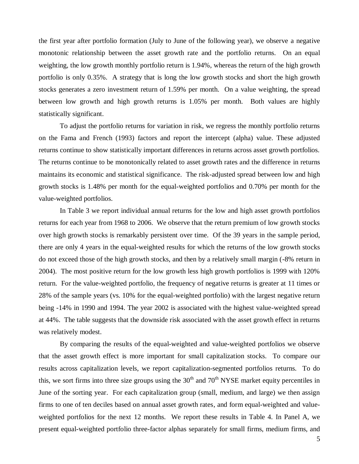the first year after portfolio formation (July to June of the following year), we observe a negative monotonic relationship between the asset growth rate and the portfolio returns. On an equal weighting, the low growth monthly portfolio return is 1.94%, whereas the return of the high growth portfolio is only 0.35%. A strategy that is long the low growth stocks and short the high growth stocks generates a zero investment return of 1.59% per month. On a value weighting, the spread between low growth and high growth returns is 1.05% per month. Both values are highly statistically significant.

To adjust the portfolio returns for variation in risk, we regress the monthly portfolio returns on the Fama and French (1993) factors and report the intercept (alpha) value. These adjusted returns continue to show statistically important differences in returns across asset growth portfolios. The returns continue to be monotonically related to asset growth rates and the difference in returns maintains its economic and statistical significance. The risk-adjusted spread between low and high growth stocks is 1.48% per month for the equal-weighted portfolios and 0.70% per month for the value-weighted portfolios.

In Table 3 we report individual annual returns for the low and high asset growth portfolios returns for each year from 1968 to 2006. We observe that the return premium of low growth stocks over high growth stocks is remarkably persistent over time. Of the 39 years in the sample period, there are only 4 years in the equal-weighted results for which the returns of the low growth stocks do not exceed those of the high growth stocks, and then by a relatively small margin (-8% return in 2004). The most positive return for the low growth less high growth portfolios is 1999 with 120% return. For the value-weighted portfolio, the frequency of negative returns is greater at 11 times or 28% of the sample years (vs. 10% for the equal-weighted portfolio) with the largest negative return being -14% in 1990 and 1994. The year 2002 is associated with the highest value-weighted spread at 44%. The table suggests that the downside risk associated with the asset growth effect in returns was relatively modest.

By comparing the results of the equal-weighted and value-weighted portfolios we observe that the asset growth effect is more important for small capitalization stocks. To compare our results across capitalization levels, we report capitalization-segmented portfolios returns. To do this, we sort firms into three size groups using the  $30<sup>th</sup>$  and  $70<sup>th</sup>$  NYSE market equity percentiles in June of the sorting year. For each capitalization group (small, medium, and large) we then assign firms to one of ten deciles based on annual asset growth rates, and form equal-weighted and valueweighted portfolios for the next 12 months. We report these results in Table 4. In Panel A, we present equal-weighted portfolio three-factor alphas separately for small firms, medium firms, and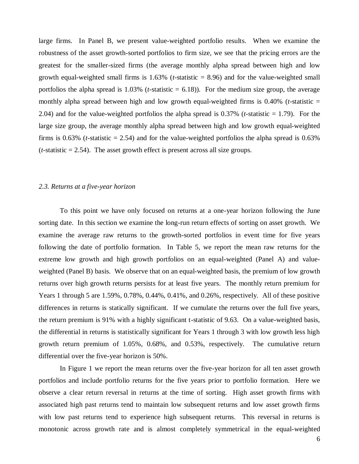large firms. In Panel B, we present value-weighted portfolio results. When we examine the robustness of the asset growth-sorted portfolios to firm size, we see that the pricing errors are the greatest for the smaller-sized firms (the average monthly alpha spread between high and low growth equal-weighted small firms is 1.63% (*t*-statistic = 8.96) and for the value-weighted small portfolios the alpha spread is  $1.03\%$  (*t*-statistic = 6.18)). For the medium size group, the average monthly alpha spread between high and low growth equal-weighted firms is 0.40% (*t*-statistic = 2.04) and for the value-weighted portfolios the alpha spread is 0.37% (*t*-statistic = 1.79). For the large size group, the average monthly alpha spread between high and low growth equal-weighted firms is 0.63% (*t*-statistic = 2.54) and for the value-weighted portfolios the alpha spread is 0.63% (*t*-statistic = 2.54). The asset growth effect is present across all size groups.

## *2.3. Returns at a five-year horizon*

To this point we have only focused on returns at a one-year horizon following the June sorting date. In this section we examine the long-run return effects of sorting on asset growth. We examine the average raw returns to the growth-sorted portfolios in event time for five years following the date of portfolio formation. In Table 5, we report the mean raw returns for the extreme low growth and high growth portfolios on an equal-weighted (Panel A) and valueweighted (Panel B) basis. We observe that on an equal-weighted basis, the premium of low growth returns over high growth returns persists for at least five years. The monthly return premium for Years 1 through 5 are 1.59%, 0.78%, 0.44%, 0.41%, and 0.26%, respectively. All of these positive differences in returns is statically significant. If we cumulate the returns over the full five years, the return premium is 91% with a highly significant t-statistic of 9.63. On a value-weighted basis, the differential in returns is statistically significant for Years 1 through 3 with low growth less high growth return premium of 1.05%, 0.68%, and 0.53%, respectively. The cumulative return differential over the five-year horizon is 50%.

In Figure 1 we report the mean returns over the five-year horizon for all ten asset growth portfolios and include portfolio returns for the five years prior to portfolio formation. Here we observe a clear return reversal in returns at the time of sorting. High asset growth firms with associated high past returns tend to maintain low subsequent returns and low asset growth firms with low past returns tend to experience high subsequent returns. This reversal in returns is monotonic across growth rate and is almost completely symmetrical in the equal-weighted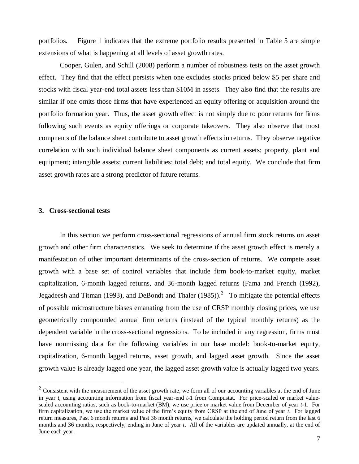portfolios. Figure 1 indicates that the extreme portfolio results presented in Table 5 are simple extensions of what is happening at all levels of asset growth rates.

Cooper, Gulen, and Schill (2008) perform a number of robustness tests on the asset growth effect. They find that the effect persists when one excludes stocks priced below \$5 per share and stocks with fiscal year-end total assets less than \$10M in assets. They also find that the results are similar if one omits those firms that have experienced an equity offering or acquisition around the portfolio formation year. Thus, the asset growth effect is not simply due to poor returns for firms following such events as equity offerings or corporate takeovers. They also observe that most compnents of the balance sheet contribute to asset growth effects in returns. They observe negative correlation with such individual balance sheet components as current assets; property, plant and equipment; intangible assets; current liabilities; total debt; and total equity. We conclude that firm asset growth rates are a strong predictor of future returns.

# **3. Cross-sectional tests**

 $\overline{a}$ 

In this section we perform cross-sectional regressions of annual firm stock returns on asset growth and other firm characteristics. We seek to determine if the asset growth effect is merely a manifestation of other important determinants of the cross-section of returns. We compete asset growth with a base set of control variables that include firm book-to-market equity, market capitalization, 6-month lagged returns, and 36-month lagged returns (Fama and French (1992), Jegadeesh and Titman (1993), and DeBondt and Thaler (1985)).<sup>2</sup> To mitigate the potential effects of possible microstructure biases emanating from the use of CRSP monthly closing prices, we use geometrically compounded annual firm returns (instead of the typical monthly returns) as the dependent variable in the cross-sectional regressions. To be included in any regression, firms must have nonmissing data for the following variables in our base model: book-to-market equity, capitalization, 6-month lagged returns, asset growth, and lagged asset growth. Since the asset growth value is already lagged one year, the lagged asset growth value is actually lagged two years.

 $2^2$  Consistent with the measurement of the asset growth rate, we form all of our accounting variables at the end of June in year *t,* using accounting information from fiscal year-end *t*-1 from Compustat. For price-scaled or market valuescaled accounting ratios, such as book-to-market (BM), we use price or market value from December of year *t*-1. For firm capitalization, we use the market value of the firm's equity from CRSP at the end of June of year *t*. For lagged return measures, Past 6 month returns and Past 36 month returns, we calculate the holding period return from the last 6 months and 36 months, respectively, ending in June of year *t*. All of the variables are updated annually, at the end of June each year.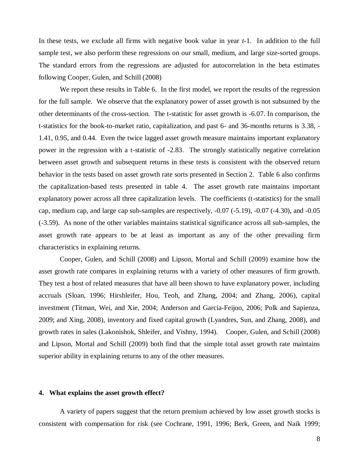In these tests, we exclude all firms with negative book value in year *t*-1. In addition to the full sample test, we also perform these regressions on our small, medium, and large size-sorted groups. The standard errors from the regressions are adjusted for autocorrelation in the beta estimates following Cooper, Gulen, and Schill (2008)

We report these results in Table 6. In the first model, we report the results of the regression for the full sample. We observe that the explanatory power of asset growth is not subsumed by the other determinants of the cross-section. The t-statistic for asset growth is -6.07. In comparison, the t-statistics for the book-to-market ratio, capitalization, and past 6- and 36-months returns is 3.38, - 1.41, 0.95, and 0.44. Even the twice lagged asset growth measure maintains important explanatory power in the regression with a t-statistic of -2.83. The strongly statistically negative correlation between asset growth and subsequent returns in these tests is consistent with the observed return behavior in the tests based on asset growth rate sorts presented in Section 2. Table 6 also confirms the capitalization-based tests presented in table 4. The asset growth rate maintains important explanatory power across all three capitalization levels. The coefficients (t-statistics) for the small cap, medium cap, and large cap sub-samples are respectively, -0.07 (-5.19), -0.07 (-4.30), and -0.05 (-3.59). As none of the other variables maintains statistical significance across all sub-samples, the asset growth rate appears to be at least as important as any of the other prevailing firm characteristics in explaining returns.

Cooper, Gulen, and Schill (2008) and Lipson, Mortal and Schill (2009) examine how the asset growth rate compares in explaining returns with a variety of other measures of firm growth. They test a host of related measures that have all been shown to have explanatory power, including accruals (Sloan, 1996; Hirshleifer, Hou, Teoh, and Zhang, 2004; and Zhang, 2006), capital investment (Titman, Wei, and Xie, 2004; Anderson and Garcia-Feijoo, 2006; Polk and Sapienza, 2009; and Xing, 2008), inventory and fixed capital growth (Lyandres, Sun, and Zhang, 2008), and growth rates in sales (Lakonishok, Shleifer, and Vishny, 1994). Cooper, Gulen, and Schill (2008) and Lipson, Mortal and Schill (2009) both find that the simple total asset growth rate maintains superior ability in explaining returns to any of the other measures.

## **4. What explains the asset growth effect?**

A variety of papers suggest that the return premium achieved by low asset growth stocks is consistent with compensation for risk (see Cochrane, 1991, 1996; Berk, Green, and Naik 1999;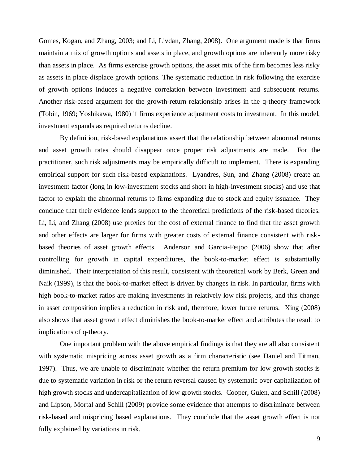Gomes, Kogan, and Zhang, 2003; and Li, Livdan, Zhang, 2008). One argument made is that firms maintain a mix of growth options and assets in place, and growth options are inherently more risky than assets in place. As firms exercise growth options, the asset mix of the firm becomes less risky as assets in place displace growth options. The systematic reduction in risk following the exercise of growth options induces a negative correlation between investment and subsequent returns. Another risk-based argument for the growth-return relationship arises in the q-theory framework (Tobin, 1969; Yoshikawa, 1980) if firms experience adjustment costs to investment. In this model, investment expands as required returns decline.

By definition, risk-based explanations assert that the relationship between abnormal returns and asset growth rates should disappear once proper risk adjustments are made. For the practitioner, such risk adjustments may be empirically difficult to implement. There is expanding empirical support for such risk-based explanations. Lyandres, Sun, and Zhang (2008) create an investment factor (long in low-investment stocks and short in high-investment stocks) and use that factor to explain the abnormal returns to firms expanding due to stock and equity issuance. They conclude that their evidence lends support to the theoretical predictions of the risk-based theories. Li, Li, and Zhang (2008) use proxies for the cost of external finance to find that the asset growth and other effects are larger for firms with greater costs of external finance consistent with riskbased theories of asset growth effects. Anderson and Garcia-Feijoo (2006) show that after controlling for growth in capital expenditures, the book-to-market effect is substantially diminished. Their interpretation of this result, consistent with theoretical work by Berk, Green and Naik (1999), is that the book-to-market effect is driven by changes in risk. In particular, firms with high book-to-market ratios are making investments in relatively low risk projects, and this change in asset composition implies a reduction in risk and, therefore, lower future returns. Xing (2008) also shows that asset growth effect diminishes the book-to-market effect and attributes the result to implications of q-theory.

One important problem with the above empirical findings is that they are all also consistent with systematic mispricing across asset growth as a firm characteristic (see Daniel and Titman, 1997). Thus, we are unable to discriminate whether the return premium for low growth stocks is due to systematic variation in risk or the return reversal caused by systematic over capitalization of high growth stocks and undercapitalization of low growth stocks. Cooper, Gulen, and Schill (2008) and Lipson, Mortal and Schill (2009) provide some evidence that attempts to discriminate between risk-based and mispricing based explanations. They conclude that the asset growth effect is not fully explained by variations in risk.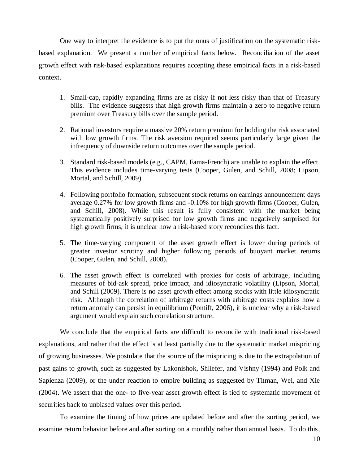One way to interpret the evidence is to put the onus of justification on the systematic riskbased explanation. We present a number of empirical facts below. Reconciliation of the asset growth effect with risk-based explanations requires accepting these empirical facts in a risk-based context.

- 1. Small-cap, rapidly expanding firms are as risky if not less risky than that of Treasury bills. The evidence suggests that high growth firms maintain a zero to negative return premium over Treasury bills over the sample period.
- 2. Rational investors require a massive 20% return premium for holding the risk associated with low growth firms. The risk aversion required seems particularly large given the infrequency of downside return outcomes over the sample period.
- 3. Standard risk-based models (e.g., CAPM, Fama-French) are unable to explain the effect. This evidence includes time-varying tests (Cooper, Gulen, and Schill, 2008; Lipson, Mortal, and Schill, 2009).
- 4. Following portfolio formation, subsequent stock returns on earnings announcement days average 0.27% for low growth firms and -0.10% for high growth firms (Cooper, Gulen, and Schill, 2008). While this result is fully consistent with the market being systematically positively surprised for low growth firms and negatively surprised for high growth firms, it is unclear how a risk-based story reconciles this fact.
- 5. The time-varying component of the asset growth effect is lower during periods of greater investor scrutiny and higher following periods of buoyant market returns (Cooper, Gulen, and Schill, 2008).
- 6. The asset growth effect is correlated with proxies for costs of arbitrage, including measures of bid-ask spread, price impact, and idiosyncratic volatility (Lipson, Mortal, and Schill (2009). There is no asset growth effect among stocks with little idiosyncratic risk. Although the correlation of arbitrage returns with arbitrage costs explains how a return anomaly can persist in equilibrium (Pontiff, 2006), it is unclear why a risk-based argument would explain such correlation structure.

We conclude that the empirical facts are difficult to reconcile with traditional risk-based explanations, and rather that the effect is at least partially due to the systematic market mispricing of growing businesses. We postulate that the source of the mispricing is due to the extrapolation of past gains to growth, such as suggested by Lakonishok, Shliefer, and Vishny (1994) and Polk and Sapienza (2009), or the under reaction to empire building as suggested by Titman, Wei, and Xie (2004). We assert that the one- to five-year asset growth effect is tied to systematic movement of securities back to unbiased values over this period.

To examine the timing of how prices are updated before and after the sorting period, we examine return behavior before and after sorting on a monthly rather than annual basis. To do this,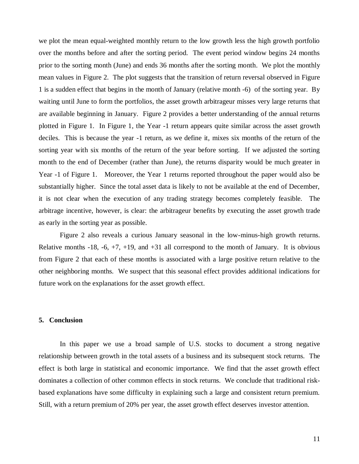we plot the mean equal-weighted monthly return to the low growth less the high growth portfolio over the months before and after the sorting period. The event period window begins 24 months prior to the sorting month (June) and ends 36 months after the sorting month. We plot the monthly mean values in Figure 2. The plot suggests that the transition of return reversal observed in Figure 1 is a sudden effect that begins in the month of January (relative month -6) of the sorting year. By waiting until June to form the portfolios, the asset growth arbitrageur misses very large returns that are available beginning in January. Figure 2 provides a better understanding of the annual returns plotted in Figure 1. In Figure 1, the Year -1 return appears quite similar across the asset growth deciles. This is because the year -1 return, as we define it, mixes six months of the return of the sorting year with six months of the return of the year before sorting. If we adjusted the sorting month to the end of December (rather than June), the returns disparity would be much greater in Year -1 of Figure 1. Moreover, the Year 1 returns reported throughout the paper would also be substantially higher. Since the total asset data is likely to not be available at the end of December, it is not clear when the execution of any trading strategy becomes completely feasible. The arbitrage incentive, however, is clear: the arbitrageur benefits by executing the asset growth trade as early in the sorting year as possible.

Figure 2 also reveals a curious January seasonal in the low-minus-high growth returns. Relative months -18, -6,  $+7$ ,  $+19$ , and  $+31$  all correspond to the month of January. It is obvious from Figure 2 that each of these months is associated with a large positive return relative to the other neighboring months. We suspect that this seasonal effect provides additional indications for future work on the explanations for the asset growth effect.

# **5. Conclusion**

In this paper we use a broad sample of U.S. stocks to document a strong negative relationship between growth in the total assets of a business and its subsequent stock returns. The effect is both large in statistical and economic importance. We find that the asset growth effect dominates a collection of other common effects in stock returns. We conclude that traditional riskbased explanations have some difficulty in explaining such a large and consistent return premium. Still, with a return premium of 20% per year, the asset growth effect deserves investor attention.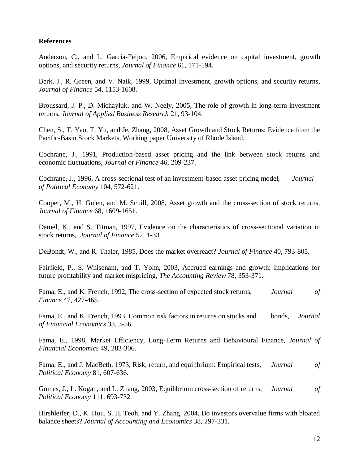# **References**

Anderson, C., and L. Garcia-Feijoo, 2006, Empirical evidence on [capital investment, growth](javascript:openWindow()  [options, and security returns,](javascript:openWindow() *Journal of Finance* 61, 171-194.

Berk, J., R. Green, and V. Naik, 1999, Optimal investment, growth options, and security returns, *Journal of Finance* 54, 1153-1608.

Broussard, J. P., D. Michayluk, and W. Neely, 2005, The role of growth in long-term investment returns, *Journal of Applied Business Research* 21, 93-104.

Chen, S., T. Yao, T. Yu, and Je. Zhang, 2008, Asset Growth and Stock Returns: Evidence from the Pacific-Basin Stock Markets, Working paper University of Rhode Island.

Cochrane, J., 1991, Production-based asset pricing and the link between stock returns and economic fluctuations, *Journal of Finance* 46, 209-237.

Cochrane, J., 1996, A cross-sectional test of an investment-based asset pricing model, *Journal of Political Economy* 104, 572-621.

Cooper, M., H. Gulen, and M. Schill, 2008, Asset growth and the cross-section of stock returns, *Journal of Finance* 68, 1609-1651.

Daniel, K., and S. Titman, 1997, Evidence on the characteristics of cross-sectional variation in stock returns, *Journal of Finance* 52, 1-33.

DeBondt, W., and R. Thaler, 1985, Does the market overreact? *Journal of Finance* 40, 793-805.

Fairfield, P., S. Whisenant, and T. Yohn, 2003, Accrued earnings and growth: Implications for future profitability and market mispricing, *The Accounting Review* 78, 353-371.

Fama, E., and K. French, 1992, The cross-section of expected stock returns, *Journal of Finance* 47, 427-465.

Fama, E., and K. French, 1993, Common risk factors in returns on stocks and bonds, *Journal of Financial Economics* 33, 3-56.

Fama, E., 1998, Market Efficiency, Long-Term Returns and Behavioural Finance, *Journal of Financial Economics* 49, 283-306.

Fama, E., and J. MacBeth, 1973, Risk, return, and equilibrium: Empirical tests, *Journal of Political Economy* 81, 607-636.

Gomes, J., L. Kogan, and L. Zhang, 2003, Equilibrium cross-section of returns, *Journal of Political Economy* 111, 693-732.

Hirshleifer, D., K. Hou, S. H. Teoh, and Y. Zhang, 2004, Do investors overvalue firms with bloated balance sheets? *Journal of Accounting and Economics* 38, 297-331.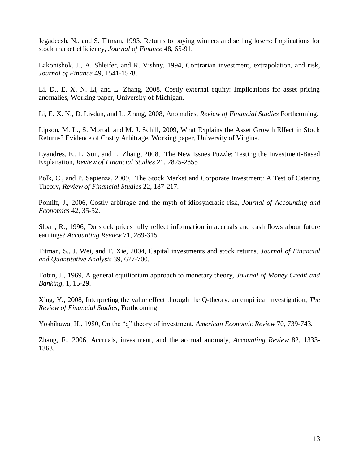Jegadeesh, N., and S. Titman, 1993, Returns to buying winners and selling losers: Implications for stock market efficiency, *Journal of Finance* 48, 65-91.

Lakonishok, J., A. Shleifer, and R. Vishny, 1994, Contrarian investment, extrapolation, and risk, *Journal of Finance* 49, 1541-1578.

Li, D., E. X. N. Li, and L. Zhang, 2008, [Costly external equity: Implications for asset pricing](http://webuser.bus.umich.edu/zhanglu/CostExtFin08Sept.pdf)  [anomalies,](http://webuser.bus.umich.edu/zhanglu/CostExtFin08Sept.pdf) Working paper, University of Michigan.

Li, E. X. N., D. Livdan, and L. Zhang, 2008, Anomalies, *Review of Financial Studies* Forthcoming.

Lipson, M. L., S. Mortal, and M. J. Schill, 2009, What Explains the Asset Growth Effect in Stock Returns? Evidence of Costly Arbitrage, Working paper, University of Virgina.

Lyandres, E., L. Sun, and L. Zhang, 2008, The New Issues Puzzle: Testing the Investment-Based Explanation, *Review of Financial Studies* 21, 2825-2855

Polk, C., and P. Sapienza, 2009, The Stock Market and Corporate Investment: A Test of Catering Theory**,** *Review of Financial Studies* 22, 187-217.

Pontiff, J., 2006, Costly arbitrage and the myth of idiosyncratic risk, *Journal of Accounting and Economics* 42, 35-52.

Sloan, R., 1996, Do stock prices fully reflect information in accruals and cash flows about future earnings? *Accounting Review* 71, 289-315.

Titman, S., J. Wei, and F. Xie, 2004, Capital investments and stock returns, *Journal of Financial and Quantitative Analysis* 39, 677-700.

Tobin, J., 1969, A general equilibrium approach to monetary theory, *Journal of Money Credit and Banking*, 1, 15-29.

Xing, Y., 2008, Interpreting the value effect through the Q-theory: an empirical investigation, *The Review of Financial Studies*, Forthcoming.

Yoshikawa, H., 1980, On the "q" theory of investment, *American Economic Review* 70, 739-743.

Zhang, F., 2006, Accruals, investment, and the accrual anomaly, *Accounting Review* 82, 1333- 1363.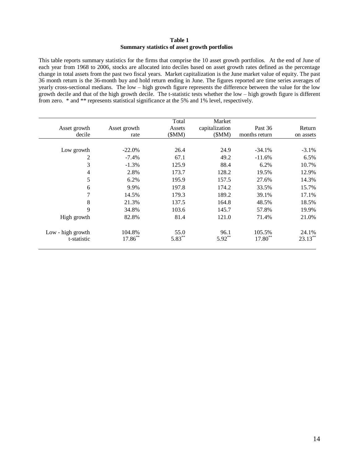#### **Table 1 Summary statistics of asset growth portfolios**

This table reports summary statistics for the firms that comprise the 10 asset growth portfolios. At the end of June of each year from 1968 to 2006, stocks are allocated into deciles based on asset growth rates defined as the percentage change in total assets from the past two fiscal years. Market capitalization is the June market value of equity. The past 36 month return is the 36-month buy and hold return ending in June. The figures reported are time series averages of yearly cross-sectional medians. The low – high growth figure represents the difference between the value for the low growth decile and that of the high growth decile. The t-statistic tests whether the low – high growth figure is different from zero. \* and \*\* represents statistical significance at the 5% and 1% level, respectively.

| Asset growth      | Asset growth | Total<br>Assets | Market<br>capitalization | Past 36       | Return     |
|-------------------|--------------|-----------------|--------------------------|---------------|------------|
| decile            | rate         | (SMM)           | (SMM)                    | months return | on assets  |
|                   |              |                 |                          |               |            |
| Low growth        | $-22.0%$     | 26.4            | 24.9                     | $-34.1%$      | $-3.1\%$   |
| 2                 | $-7.4\%$     | 67.1            | 49.2                     | $-11.6%$      | 6.5%       |
| 3                 | $-1.3%$      | 125.9           | 88.4                     | 6.2%          | 10.7%      |
| 4                 | 2.8%         | 173.7           | 128.2                    | 19.5%         | 12.9%      |
| 5                 | 6.2%         | 195.9           | 157.5                    | 27.6%         | 14.3%      |
| 6                 | 9.9%         | 197.8           | 174.2                    | 33.5%         | 15.7%      |
| 7                 | 14.5%        | 179.3           | 189.2                    | 39.1%         | 17.1%      |
| 8                 | 21.3%        | 137.5           | 164.8                    | 48.5%         | 18.5%      |
| 9                 | 34.8%        | 103.6           | 145.7                    | 57.8%         | 19.9%      |
| High growth       | 82.8%        | 81.4            | 121.0                    | 71.4%         | 21.0%      |
| Low - high growth | 104.8%       | 55.0            | 96.1                     | 105.5%        | 24.1%      |
| t-statistic       | $17.86$ **   | $5.83***$       | $5.92***$                | $17.80**$     | $23.13***$ |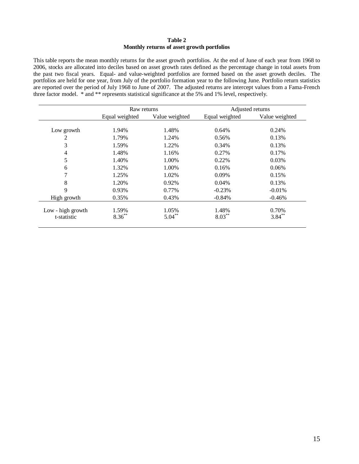#### **Table 2 Monthly returns of asset growth portfolios**

This table reports the mean monthly returns for the asset growth portfolios. At the end of June of each year from 1968 to 2006, stocks are allocated into deciles based on asset growth rates defined as the percentage change in total assets from the past two fiscal years. Equal- and value-weighted portfolios are formed based on the asset growth deciles. The portfolios are held for one year, from July of the portfolio formation year to the following June. Portfolio return statistics are reported over the period of July 1968 to June of 2007. The adjusted returns are intercept values from a Fama-French three factor model. \* and \*\* represents statistical significance at the 5% and 1% level, respectively.

|                   | Raw returns    |                |                | Adjusted returns |
|-------------------|----------------|----------------|----------------|------------------|
|                   | Equal weighted | Value weighted | Equal weighted | Value weighted   |
|                   |                |                |                |                  |
| Low growth        | 1.94%          | 1.48%          | 0.64%          | 0.24%            |
| 2                 | 1.79%          | 1.24%          | 0.56%          | 0.13%            |
| 3                 | 1.59%          | 1.22%          | 0.34%          | 0.13%            |
| 4                 | 1.48%          | 1.16%          | 0.27%          | 0.17%            |
| 5                 | 1.40%          | 1.00%          | 0.22%          | 0.03%            |
| 6                 | 1.32%          | 1.00%          | 0.16%          | 0.06%            |
| 7                 | 1.25%          | 1.02%          | 0.09%          | 0.15%            |
| 8                 | 1.20%          | 0.92%          | 0.04%          | 0.13%            |
| 9                 | 0.93%          | 0.77%          | $-0.23%$       | $-0.01%$         |
| High growth       | 0.35%          | 0.43%          | $-0.84%$       | $-0.46%$         |
| Low - high growth | 1.59%          | 1.05%          | 1.48%          | 0.70%            |
| t-statistic       | $8.36***$      | $5.04***$      | $8.03***$      | $3.84***$        |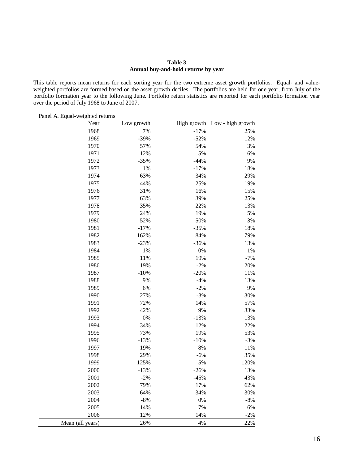### **Table 3 Annual buy-and-hold returns by year**

This table reports mean returns for each sorting year for the two extreme asset growth portfolios. Equal- and valueweighted portfolios are formed based on the asset growth deciles. The portfolios are held for one year, from July of the portfolio formation year to the following June. Portfolio return statistics are reported for each portfolio formation year over the period of July 1968 to June of 2007.

| Year             | Low growth | High growth | Low - high growth |
|------------------|------------|-------------|-------------------|
| 1968             | 7%         | $-17%$      | 25%               |
| 1969             | $-39%$     | $-52%$      | 12%               |
| 1970             | 57%        | 54%         | 3%                |
| 1971             | 12%        | 5%          | 6%                |
| 1972             | $-35%$     | $-44%$      | 9%                |
| 1973             | 1%         | $-17%$      | 18%               |
| 1974             | 63%        | 34%         | 29%               |
| 1975             | 44%        | 25%         | 19%               |
| 1976             | 31%        | 16%         | 15%               |
| 1977             | 63%        | 39%         | 25%               |
| 1978             | 35%        | 22%         | 13%               |
| 1979             | 24%        | 19%         | 5%                |
| 1980             | 52%        | 50%         | 3%                |
| 1981             | $-17%$     | $-35%$      | 18%               |
| 1982             | 162%       | 84%         | 79%               |
| 1983             | $-23%$     | $-36%$      | 13%               |
| 1984             | 1%         | 0%          | 1%                |
| 1985             | 11%        | 19%         | $-7%$             |
| 1986             | 19%        | $-2%$       | 20%               |
| 1987             | $-10%$     | $-20%$      | 11%               |
| 1988             | 9%         | $-4%$       | 13%               |
| 1989             | 6%         | $-2%$       | 9%                |
| 1990             | 27%        | $-3%$       | 30%               |
| 1991             | 72%        | 14%         | 57%               |
| 1992             | 42%        | 9%          | 33%               |
| 1993             | 0%         | $-13%$      | 13%               |
| 1994             | 34%        | 12%         | 22%               |
| 1995             | 73%        | 19%         | 53%               |
| 1996             | $-13%$     | $-10%$      | $-3%$             |
| 1997             | 19%        | $8\%$       | 11%               |
| 1998             | 29%        | $-6%$       | 35%               |
| 1999             | 125%       | 5%          | 120%              |
| 2000             | $-13%$     | $-26%$      | 13%               |
| 2001             | $-2%$      | $-45%$      | 43%               |
| 2002             | 79%        | 17%         | 62%               |
| 2003             | 64%        | 34%         | 30%               |
| 2004             | $-8%$      | $0\%$       | $-8%$             |
| 2005             | 14%        | 7%          | 6%                |
| 2006             | 12%        | 14%         | $-2%$             |
| Mean (all years) | 26%        | 4%          | 22%               |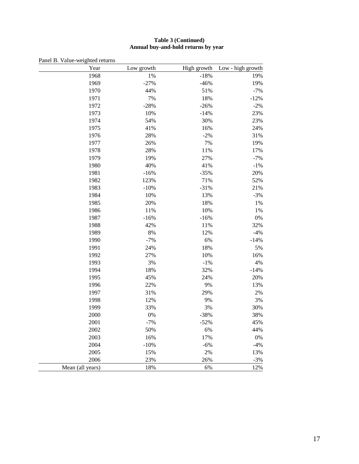#### **Table 3 (Continued) Annual buy-and-hold returns by year**

|  | Panel B. Value-weighted returns |  |
|--|---------------------------------|--|
|--|---------------------------------|--|

| Year             | Low growth | High growth | Low - high growth |
|------------------|------------|-------------|-------------------|
| 1968             | 1%         | $-18%$      | 19%               |
| 1969             | $-27%$     | $-46%$      | 19%               |
| 1970             | 44%        | 51%         | $-7%$             |
| 1971             | 7%         | 18%         | $-12%$            |
| 1972             | $-28%$     | $-26%$      | $-2%$             |
| 1973             | 10%        | $-14%$      | 23%               |
| 1974             | 54%        | 30%         | 23%               |
| 1975             | 41%        | 16%         | 24%               |
| 1976             | 28%        | $-2%$       | 31%               |
| 1977             | 26%        | 7%          | 19%               |
| 1978             | 28%        | 11%         | 17%               |
| 1979             | 19%        | 27%         | $-7%$             |
| 1980             | 40%        | 41%         | $-1\%$            |
| 1981             | $-16%$     | $-35%$      | 20%               |
| 1982             | 123%       | 71%         | 52%               |
| 1983             | $-10%$     | $-31%$      | 21%               |
| 1984             | 10%        | 13%         | $-3%$             |
| 1985             | 20%        | 18%         | 1%                |
| 1986             | 11%        | 10%         | 1%                |
| 1987             | $-16%$     | $-16%$      | 0%                |
| 1988             | 42%        | 11%         | 32%               |
| 1989             | $8\%$      | 12%         | $-4%$             |
| 1990             | $-7%$      | 6%          | $-14%$            |
| 1991             | 24%        | 18%         | 5%                |
| 1992             | 27%        | 10%         | 16%               |
| 1993             | 3%         | $-1%$       | 4%                |
| 1994             | 18%        | 32%         | $-14%$            |
| 1995             | 45%        | 24%         | 20%               |
| 1996             | 22%        | 9%          | 13%               |
| 1997             | 31%        | 29%         | 2%                |
| 1998             | 12%        | 9%          | 3%                |
| 1999             | 33%        | 3%          | 30%               |
| 2000             | $0\%$      | $-38%$      | 38%               |
| 2001             | $-7%$      | $-52%$      | 45%               |
| 2002             | 50%        | 6%          | 44%               |
| 2003             | 16%        | 17%         | $0\%$             |
| 2004             | $-10%$     | $-6%$       | $-4%$             |
| 2005             | 15%        | $2\%$       | 13%               |
| 2006             | 23%        | 26%         | $-3%$             |
| Mean (all years) | 18%        | 6%          | 12%               |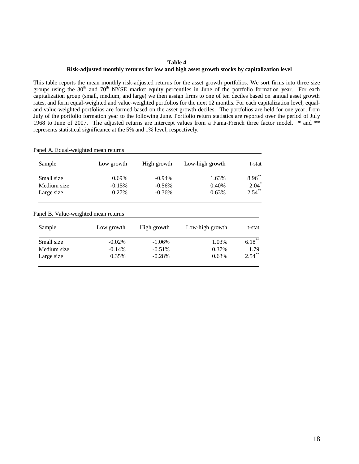### **Table 4 Risk-adjusted monthly returns for low and high asset growth stocks by capitalization level**

This table reports the mean monthly risk-adjusted returns for the asset growth portfolios. We sort firms into three size groups using the  $30<sup>th</sup>$  and  $70<sup>th</sup>$  NYSE market equity percentiles in June of the portfolio formation year. For each capitalization group (small, medium, and large) we then assign firms to one of ten deciles based on annual asset growth rates, and form equal-weighted and value-weighted portfolios for the next 12 months. For each capitalization level, equaland value-weighted portfolios are formed based on the asset growth deciles. The portfolios are held for one year, from July of the portfolio formation year to the following June. Portfolio return statistics are reported over the period of July 1968 to June of 2007. The adjusted returns are intercept values from a Fama-French three factor model. \* and \*\* represents statistical significance at the 5% and 1% level, respectively.

| Sample                               | Low growth            | High growth           | Low-high growth | t-stat            |
|--------------------------------------|-----------------------|-----------------------|-----------------|-------------------|
| Small size                           | 0.69%                 | $-0.94%$              | 1.63%           | $8.96***$         |
| Medium size                          | $-0.15%$              | $-0.56%$              | 0.40%           | $2.04*$           |
| Large size                           | 0.27%                 | $-0.36%$              | 0.63%           | $2.54***$         |
| Panel B. Value-weighted mean returns |                       |                       |                 |                   |
| Sample                               | Low growth            | High growth           | Low-high growth | t-stat            |
|                                      |                       |                       |                 |                   |
| Small size<br>Medium size            | $-0.02\%$<br>$-0.14%$ | $-1.06\%$<br>$-0.51%$ | 1.03%<br>0.37%  | $6.18***$<br>1.79 |

Panel A. Equal-weighted mean returns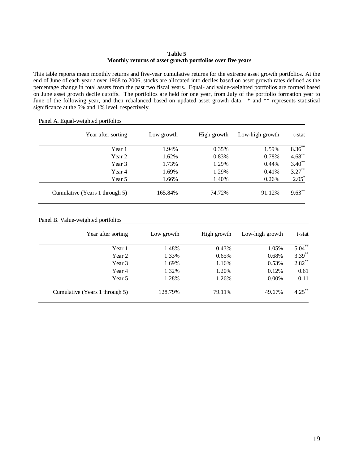### **Table 5 Monthly returns of asset growth portfolios over five years**

This table reports mean monthly returns and five-year cumulative returns for the extreme asset growth portfolios. At the end of June of each year *t* over 1968 to 2006, stocks are allocated into deciles based on asset growth rates defined as the percentage change in total assets from the past two fiscal years. Equal- and value-weighted portfolios are formed based on June asset growth decile cutoffs. The portfolios are held for one year, from July of the portfolio formation year to June of the following year, and then rebalanced based on updated asset growth data. \* and \*\* represents statistical significance at the 5% and 1% level, respectively.

| - – – – –<br>Year after sorting | Low growth | High growth | Low-high growth | t-stat    |
|---------------------------------|------------|-------------|-----------------|-----------|
| Year 1                          | 1.94%      | 0.35%       | 1.59%           | $8.36***$ |
| Year 2                          | 1.62%      | 0.83%       | 0.78%           | $4.68***$ |
| Year 3                          | 1.73%      | 1.29%       | 0.44%           | $3.40**$  |
| Year 4                          | 1.69%      | 1.29%       | 0.41%           | $3.27***$ |
| Year 5                          | 1.66%      | 1.40%       | 0.26%           | $2.05^*$  |
| Cumulative (Years 1 through 5)  | 165.84%    | 74.72%      | 91.12%          | $9.63***$ |

#### Panel A. Equal-weighted portfolios

#### Panel B. Value-weighted portfolios

| Year after sorting             |        | Low growth | High growth | Low-high growth | t-stat    |
|--------------------------------|--------|------------|-------------|-----------------|-----------|
|                                | Year 1 | 1.48%      | 0.43%       | 1.05%           | $5.04***$ |
|                                | Year 2 | 1.33%      | 0.65%       | 0.68%           | $3.39***$ |
|                                | Year 3 | 1.69%      | 1.16%       | 0.53%           | $2.82***$ |
|                                | Year 4 | 1.32%      | 1.20%       | 0.12%           | 0.61      |
|                                | Year 5 | 1.28%      | 1.26%       | 0.00%           | 0.11      |
| Cumulative (Years 1 through 5) |        | 128.79%    | 79.11%      | 49.67%          | $4.25***$ |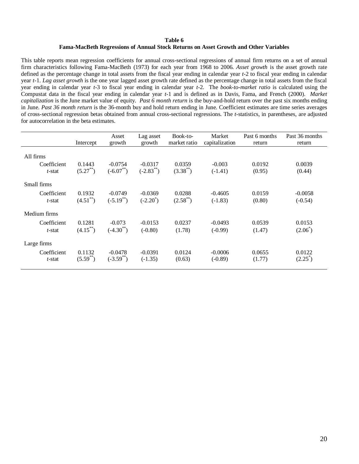### **Table 6 Fama-MacBeth Regressions of Annual Stock Returns on Asset Growth and Other Variables**

This table reports mean regression coefficients for annual cross-sectional regressions of annual firm returns on a set of annual firm characteristics following Fama-MacBeth (1973) for each year from 1968 to 2006. *Asset growth* is the asset growth rate defined as the percentage change in total assets from the fiscal year ending in calendar year *t*-2 to fiscal year ending in calendar year *t*-1. *Lag asset growth* is the one year lagged asset growth rate defined as the percentage change in total assets from the fiscal year ending in calendar year *t*-3 to fiscal year ending in calendar year *t*-2. The *book-to-market ratio* is calculated using the Compustat data in the fiscal year ending in calendar year *t*-1 and is defined as in Davis, Fama, and French (2000). *Market capitalization* is the June market value of equity. *Past 6 month return* is the buy-and-hold return over the past six months ending in June. *Past 36 month return* is the 36-month buy and hold return ending in June. Coefficient estimates are time series averages of cross-sectional regression betas obtained from annual cross-sectional regressions. The *t*-statistics, in parentheses, are adjusted for autocorrelation in the beta estimates.

|                          | Intercept               | Asset<br>growth             | Lag asset<br>growth         | Book-to-<br>market ratio | Market<br>capitalization | Past 6 months<br>return | Past 36 months<br>return |
|--------------------------|-------------------------|-----------------------------|-----------------------------|--------------------------|--------------------------|-------------------------|--------------------------|
| All firms                |                         |                             |                             |                          |                          |                         |                          |
| Coefficient<br>$t$ -stat | 0.1443<br>$(5.27^{**})$ | $-0.0754$<br>$(-6.07^{**})$ | $-0.0317$<br>$(-2.83^{**})$ | 0.0359<br>$(3.38^{**})$  | $-0.003$<br>$(-1.41)$    | 0.0192<br>(0.95)        | 0.0039<br>(0.44)         |
| Small firms              |                         |                             |                             |                          |                          |                         |                          |
| Coefficient<br>$t$ -stat | 0.1932<br>$(4.51^{**})$ | $-0.0749$<br>$(-5.19^{**})$ | $-0.0369$<br>$(-2.20^*)$    | 0.0288<br>$(2.58^{**})$  | $-0.4605$<br>$(-1.83)$   | 0.0159<br>(0.80)        | $-0.0058$<br>$(-0.54)$   |
| Medium firms             |                         |                             |                             |                          |                          |                         |                          |
| Coefficient<br>t-stat    | 0.1281<br>$(4.15^{**})$ | $-0.073$<br>$(-4.30^{**})$  | $-0.0153$<br>$(-0.80)$      | 0.0237<br>(1.78)         | $-0.0493$<br>$(-0.99)$   | 0.0539<br>(1.47)        | 0.0153<br>$(2.06^*)$     |
| Large firms              |                         |                             |                             |                          |                          |                         |                          |
| Coefficient<br>$t$ -stat | 0.1132<br>$(5.59^{**})$ | $-0.0478$<br>$(-3.59^{**})$ | $-0.0391$<br>$(-1.35)$      | 0.0124<br>(0.63)         | $-0.0006$<br>$(-0.89)$   | 0.0655<br>(1.77)        | 0.0122<br>$(2.25^*)$     |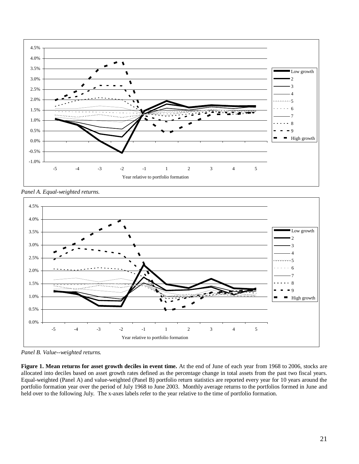

*Panel A. Equal-weighted returns.*



*Panel B. Value--weighted returns.*

**Figure 1. Mean returns for asset growth deciles in event time.** At the end of June of each year from 1968 to 2006, stocks are allocated into deciles based on asset growth rates defined as the percentage change in total assets from the past two fiscal years. Equal-weighted (Panel A) and value-weighted (Panel B) portfolio return statistics are reported every year for 10 years around the portfolio formation year over the period of July 1968 to June 2003. Monthly average returns to the portfolios formed in June and held over to the following July. The x-axes labels refer to the year relative to the time of portfolio formation.